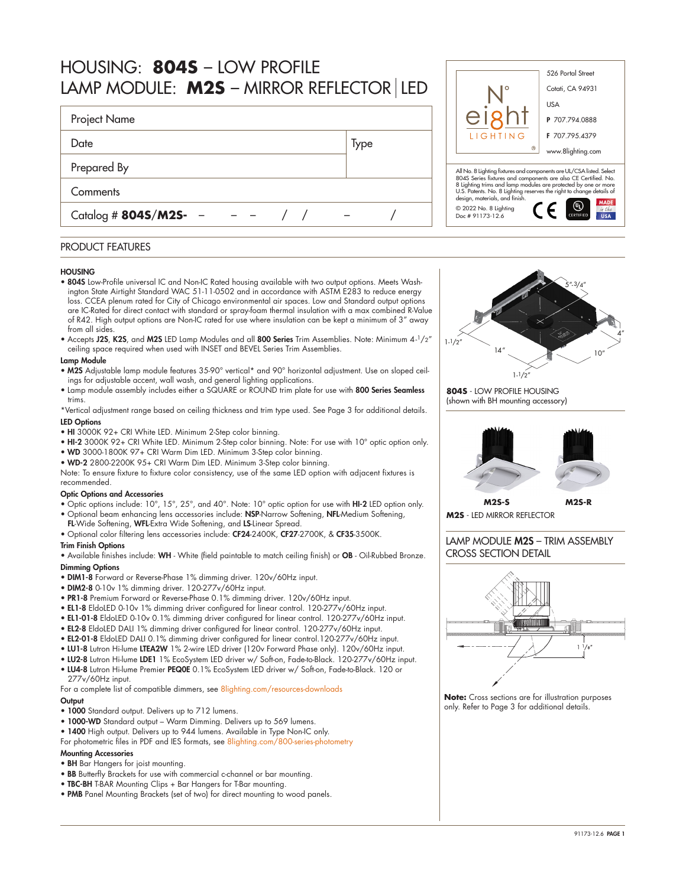| HOUSING: 8045 - LOW PROFILE<br>LAMP MODULE: M2S - MIRROR REFLECTOR LED |                                                                                                                                                                                                                       | 526 Portal Street<br>Cotati, CA 94931                                                                                                  |                                     |  |  |  |
|------------------------------------------------------------------------|-----------------------------------------------------------------------------------------------------------------------------------------------------------------------------------------------------------------------|----------------------------------------------------------------------------------------------------------------------------------------|-------------------------------------|--|--|--|
| <b>Project Name</b>                                                    |                                                                                                                                                                                                                       |                                                                                                                                        | <b>USA</b><br>P 707.794.0888        |  |  |  |
| Date                                                                   | <b>Type</b>                                                                                                                                                                                                           | LIGHTING                                                                                                                               | F 707.795.4379<br>www.8lighting.com |  |  |  |
| Prepared By                                                            |                                                                                                                                                                                                                       | All No. 8 Lighting fixtures and components are UL/CSA listed. Select<br>804S Series fixtures and components are also CE Certified. No. |                                     |  |  |  |
| Comments<br>Catalog # $8045/M25 -$                                     | 8 Lighting trims and lamp modules are protected by one or more<br>U.S. Patents. No. 8 Lighting reserves the right to change details of<br>design, materials, and finish.<br>© 2022 No. 8 Lighting<br>Doc # 91173-12.6 | MADE                                                                                                                                   |                                     |  |  |  |

## PRODUCT FEATURES

#### **HOUSING**

- 804S Low-Profile universal IC and Non-IC Rated housing available with two output options. Meets Washington State Airtight Standard WAC 51-11-0502 and in accordance with ASTM E283 to reduce energy loss. CCEA plenum rated for City of Chicago environmental air spaces. Low and Standard output options are IC-Rated for direct contact with standard or spray-foam thermal insulation with a max combined R-Value of R42. High output options are Non-IC rated for use where insulation can be kept a minimum of 3" away from all sides.
- Accepts J2S, K2S, and M2S LED Lamp Modules and all 800 Series Trim Assemblies. Note: Minimum  $4\cdot\frac{1}{2}$ " ceiling space required when used with INSET and BEVEL Series Trim Assemblies.

## Lamp Module

- M2S Adjustable lamp module features 35-90° vertical\* and 90° horizontal adjustment. Use on sloped ceilings for adjustable accent, wall wash, and general lighting applications.
- Lamp module assembly includes either a SQUARE or ROUND trim plate for use with 800 Series Seamless trims.

\*Vertical adjustment range based on ceiling thickness and trim type used. See Page 3 for additional details. LED Options

- HI 3000K 92+ CRI White LED. Minimum 2-Step color binning.
- HI-2 3000K 92+ CRI White LED. Minimum 2-Step color binning. Note: For use with 10° optic option only.
- WD 3000-1800K 97+ CRI Warm Dim LED. Minimum 3-Step color binning.
- WD-2 2800-2200K 95+ CRI Warm Dim LED. Minimum 3-Step color binning.

Note: To ensure fixture to fixture color consistency, use of the same LED option with adjacent fixtures is recommended.

### Optic Options and Accessories

- Optic options include: 10°, 15°, 25°, and 40°. Note: 10° optic option for use with HI-2 LED option only.
- Optional beam enhancing lens accessories include: NSP-Narrow Softening, NFL-Medium Softening, FL-Wide Softening, WFL-Extra Wide Softening, and LS-Linear Spread.
- Optional color filtering lens accessories include: CF24-2400K, CF27-2700K, & CF35-3500K.

### Trim Finish Options

• Available finishes include: WH - White (field paintable to match ceiling finish) or OB - Oil-Rubbed Bronze. Dimming Options

- DIM1-8 Forward or Reverse-Phase 1% dimming driver. 120v/60Hz input.
- DIM2-8 0-10v 1% dimming driver. 120-277v/60Hz input.
- PR1-8 Premium Forward or Reverse-Phase 0.1% dimming driver. 120v/60Hz input.
- EL1-8 EldoLED 0-10v 1% dimming driver configured for linear control. 120-277v/60Hz input.
- EL1-01-8 EldoLED 0-10v 0.1% dimming driver configured for linear control. 120-277v/60Hz input.
- EL2-8 EldoLED DALI 1% dimming driver configured for linear control. 120-277v/60Hz input.
- EL2-01-8 EldoLED DALI 0.1% dimming driver configured for linear control.120-277v/60Hz input.
- LU1-8 Lutron Hi-lume LTEA2W 1% 2-wire LED driver (120v Forward Phase only). 120v/60Hz input.
- LU2-8 Lutron Hi-lume LDE1 1% EcoSystem LED driver w/ Soft-on, Fade-to-Black. 120-277v/60Hz input.
- LU4-8 Lutron Hi-lume Premier PEQ0E 0.1% EcoSystem LED driver w/ Soft-on, Fade-to-Black. 120 or 277v/60Hz input.

For a complete list of compatible dimmers, see [8lighting.com/resources-downloads](https://8lighting.com/resources-downloads/) **Output** 

- 1000 Standard output. Delivers up to 712 lumens.
- 1000-WD Standard output Warm Dimming. Delivers up to 569 lumens.
- 1400 High output. Delivers up to 944 lumens. Available in Type Non-IC only.

For photometric files in PDF and IES formats, see [8lighting.com/800-series-photometry](https://8lighting.com/800-series-photometry/)

## Mounting Accessories

- BH Bar Hangers for joist mounting.
- BB Butterfly Brackets for use with commercial c-channel or bar mounting.
- TBC-BH T-BAR Mounting Clips + Bar Hangers for T-Bar mounting.
- PMB Panel Mounting Brackets (set of two) for direct mounting to wood panels.



**804S** - LOW PROFILE HOUSING (shown with BH mounting accessory)



**M2S-S M2S-R M2S** - LED MIRROR REFLECTOR

LAMP MODULE M2S – TRIM ASSEMBLY CROSS SECTION DETAIL



**Note:** Cross sections are for illustration purposes only. Refer to Page 3 for additional details.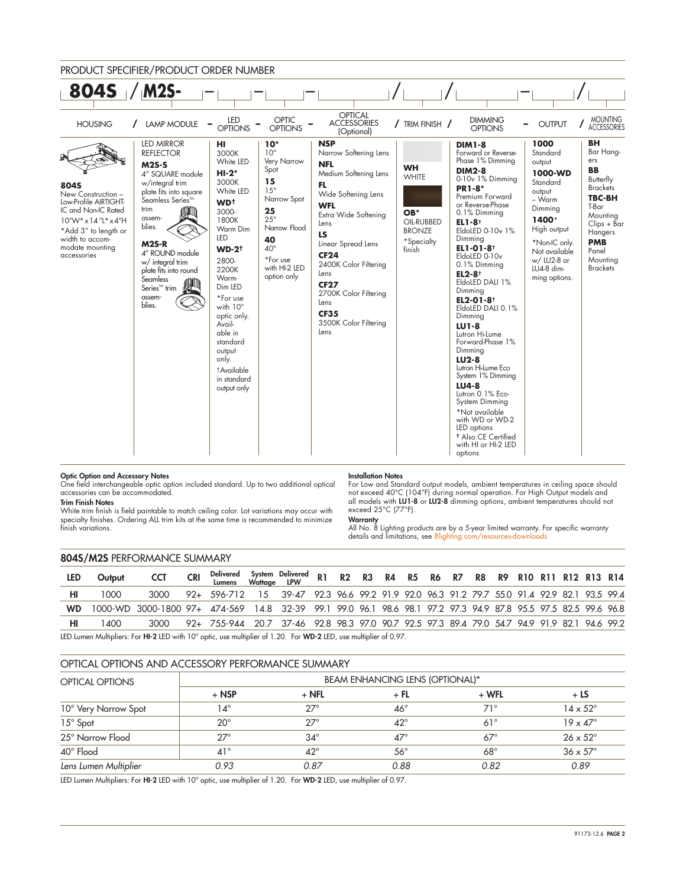

## Optic Option and Accessory Notes

One field interchangeable optic option included standard. Up to two additional optical accessories can be accommodated.

#### Trim Finish Notes

White trim finish is field paintable to match ceiling color. Lot variations may occur with specialty finishes. Ordering ALL trim kits at the same time is recommended to minimize finish variations.

#### Installation Notes

For Low and Standard output models, ambient temperatures in ceiling space should not exceed 40°C (104°F) during normal operation. For High Output models and all models with LU1-8 or LU2-8 dimming options, ambient temperatures should not exceed 25°C (77°F).

## **Warranty**

All No. 8 Lighting products are by a 5-year limited warranty. For specific warranty details and limitations, see 8lighting.com/resources-d

### 804S/M2S PERFORMANCE SUMMARY

| <b>LED</b> | Output | <b>CCT</b>                                                                                                     | <b>CRI</b> | Delivered System Delivered R1  R2  R3  R4  R5  R6  R7  R8  R9  R10 R11 R12 R13 R14<br>Lumens  Wattage  LPW |  |  |  |  |  |  |  |  |
|------------|--------|----------------------------------------------------------------------------------------------------------------|------------|------------------------------------------------------------------------------------------------------------|--|--|--|--|--|--|--|--|
|            | 1000   | 3000                                                                                                           |            | 92+ 596-712 15 39-47 92.3 96.6 99.2 91.9 92.0 96.3 91.2 79.7 55.0 91.4 92.9 82.1 93.5 99.4                 |  |  |  |  |  |  |  |  |
| <b>WD</b>  |        | 1000-WD 3000-1800 97+ 474-569 14.8 32-39 99.1 99.0 96.1 98.6 98.1 97.2 97.3 94.9 87.8 95.5 97.5 82.5 99.6 96.8 |            |                                                                                                            |  |  |  |  |  |  |  |  |
|            | 1400   | 3000                                                                                                           |            | 92+ 755-944 20.7 37-46 92.8 98.3 97.0 90.7 92.5 97.3 89.4 79.0 54.7 94.9 91.9 82.1 94.6 99.2               |  |  |  |  |  |  |  |  |

LED Lumen Multipliers: For HI-2 LED with 10° optic, use multiplier of 1.20. For WD-2 LED, use multiplier of 0.97.

# OPTICAL OPTIONS AND ACCESSORY PERFORMANCE SUMMARY

| <b>OPTICAL OPTIONS</b> | <b>BEAM ENHANCING LENS (OPTIONAL)*</b> |              |              |            |                        |  |  |  |  |  |
|------------------------|----------------------------------------|--------------|--------------|------------|------------------------|--|--|--|--|--|
|                        | $+$ NSP                                | $+$ NFL      | + FL         | $+$ WFL    | $+LS$                  |  |  |  |  |  |
| 10° Very Narrow Spot   | ۱4°                                    | $27^\circ$   | $46^{\circ}$ | $71^\circ$ | $14 \times 52^{\circ}$ |  |  |  |  |  |
| 15° Spot               | $20^{\circ}$                           | $27^\circ$   | $42^{\circ}$ | $61^\circ$ | $19 \times 47^\circ$   |  |  |  |  |  |
| 25° Narrow Flood       | $27^\circ$                             | $34^\circ$   | $47^\circ$   | $67^\circ$ | $26 \times 52^{\circ}$ |  |  |  |  |  |
| 40° Flood              | $41^{\circ}$                           | $42^{\circ}$ | $56^{\circ}$ | $68^\circ$ | $36 \times 57^\circ$   |  |  |  |  |  |
| Lens Lumen Multiplier  | 0.93                                   | 0.87         | 0.88         | 0.82       | 0.89                   |  |  |  |  |  |

LED Lumen Multipliers: For HI-2 LED with 10° optic, use multiplier of 1.20. For WD-2 LED, use multiplier of 0.97.